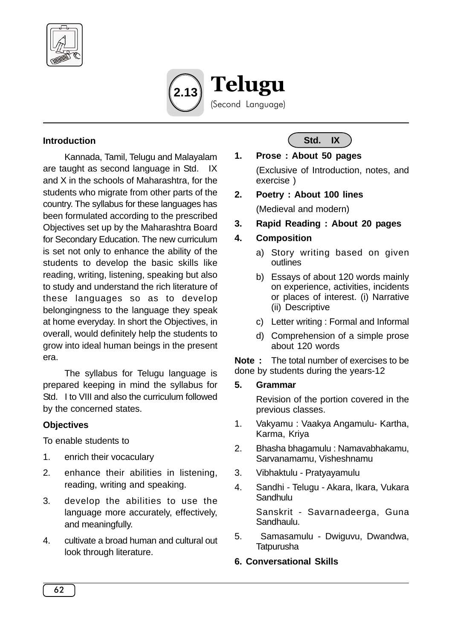



#### **Introduction**

Kannada, Tamil, Telugu and Malayalam are taught as second language in Std. IX and X in the schools of Maharashtra, for the students who migrate from other parts of the country. The syllabus for these languages has been formulated according to the prescribed Objectives set up by the Maharashtra Board for Secondary Education. The new curriculum is set not only to enhance the ability of the students to develop the basic skills like reading, writing, listening, speaking but also to study and understand the rich literature of these languages so as to develop belongingness to the language they speak at home everyday. In short the Objectives, in overall, would definitely help the students to grow into ideal human beings in the present era.

The syllabus for Telugu language is prepared keeping in mind the syllabus for Std. I to VIII and also the curriculum followed by the concerned states.

#### **Objectives**

To enable students to

- 1. enrich their vocaculary
- 2. enhance their abilities in listening, reading, writing and speaking.
- 3. develop the abilities to use the language more accurately, effectively, and meaningfully.
- 4. cultivate a broad human and cultural out look through literature.

**Std. IX**

# **1. Prose : About 50 pages**

(Exclusive of Introduction, notes, and exercise )

**2. Poetry : About 100 lines**

(Medieval and modern)

**3. Rapid Reading : About 20 pages**

#### **4. Composition**

- a) Story writing based on given outlines
- b) Essays of about 120 words mainly on experience, activities, incidents or places of interest. (i) Narrative (ii) Descriptive
- c) Letter writing : Formal and Informal
- d) Comprehension of a simple prose about 120 words

**Note :** The total number of exercises to be done by students during the years-12

#### **5. Grammar**

Revision of the portion covered in the previous classes.

- 1. Vakyamu : Vaakya Angamulu- Kartha, Karma, Kriya
- 2. Bhasha bhagamulu : Namavabhakamu, Sarvanamamu, Visheshnamu
- 3. Vibhaktulu Pratyayamulu
- 4. Sandhi Telugu Akara, Ikara, Vukara Sandhulu

Sanskrit - Savarnadeerga, Guna Sandhaulu.

5. Samasamulu - Dwiguvu, Dwandwa, **Tatpurusha** 

#### **6. Conversational Skills**